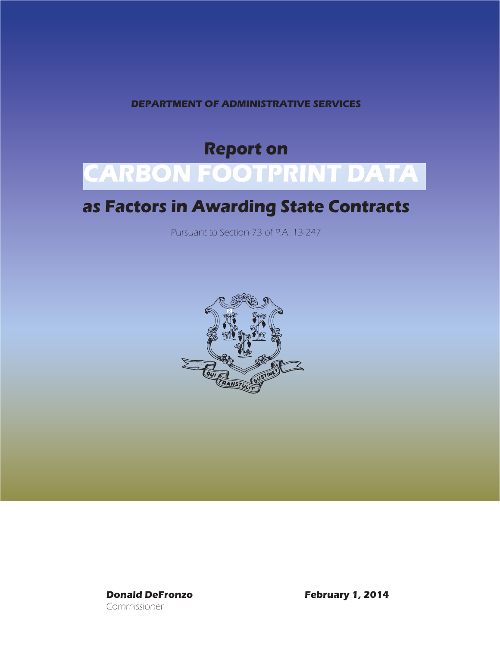**DEPARTMENT OF ADMINISTRATIVE SERVICES**

# **Report on CARBON FOOTPRINT DATA**

# **as Factors in Awarding State Contracts**

Pursuant to Section 73 of P.A. 13-247



Commissioner

**Donald DeFronzo February 1, 2014**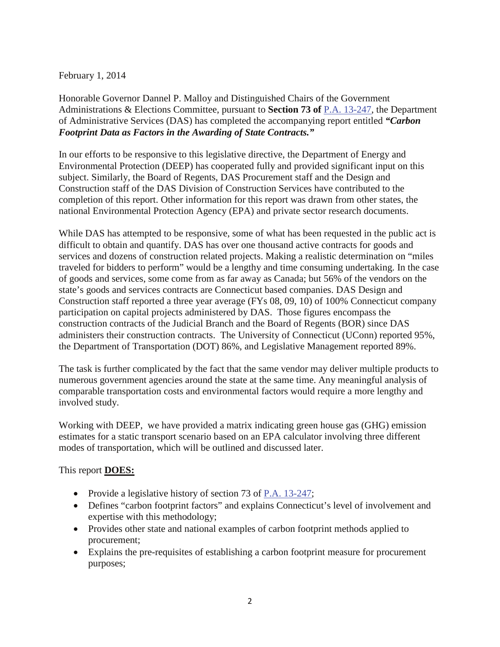#### February 1, 2014

Honorable Governor Dannel P. Malloy and Distinguished Chairs of the Government Administrations & Elections Committee, pursuant to **Section 73 of** [P.A. 13-247,](http://www.cga.ct.gov/2013/ACT/pa/pdf/2013PA-00247-R00HB-06706-PA.pdf) the Department of Administrative Services (DAS) has completed the accompanying report entitled *"Carbon Footprint Data as Factors in the Awarding of State Contracts."*

In our efforts to be responsive to this legislative directive, the Department of Energy and Environmental Protection (DEEP) has cooperated fully and provided significant input on this subject. Similarly, the Board of Regents, DAS Procurement staff and the Design and Construction staff of the DAS Division of Construction Services have contributed to the completion of this report. Other information for this report was drawn from other states, the national Environmental Protection Agency (EPA) and private sector research documents.

While DAS has attempted to be responsive, some of what has been requested in the public act is difficult to obtain and quantify. DAS has over one thousand active contracts for goods and services and dozens of construction related projects. Making a realistic determination on "miles traveled for bidders to perform" would be a lengthy and time consuming undertaking. In the case of goods and services, some come from as far away as Canada; but 56% of the vendors on the state's goods and services contracts are Connecticut based companies. DAS Design and Construction staff reported a three year average (FYs 08, 09, 10) of 100% Connecticut company participation on capital projects administered by DAS. Those figures encompass the construction contracts of the Judicial Branch and the Board of Regents (BOR) since DAS administers their construction contracts. The University of Connecticut (UConn) reported 95%, the Department of Transportation (DOT) 86%, and Legislative Management reported 89%.

The task is further complicated by the fact that the same vendor may deliver multiple products to numerous government agencies around the state at the same time. Any meaningful analysis of comparable transportation costs and environmental factors would require a more lengthy and involved study.

Working with DEEP, we have provided a matrix indicating green house gas (GHG) emission estimates for a static transport scenario based on an EPA calculator involving three different modes of transportation, which will be outlined and discussed later.

#### This report **DOES:**

- Provide a legislative history of section 73 of [P.A. 13-247;](http://www.cga.ct.gov/2013/ACT/pa/pdf/2013PA-00247-R00HB-06706-PA.pdf)
- Defines "carbon footprint factors" and explains Connecticut's level of involvement and expertise with this methodology;
- Provides other state and national examples of carbon footprint methods applied to procurement;
- Explains the pre-requisites of establishing a carbon footprint measure for procurement purposes;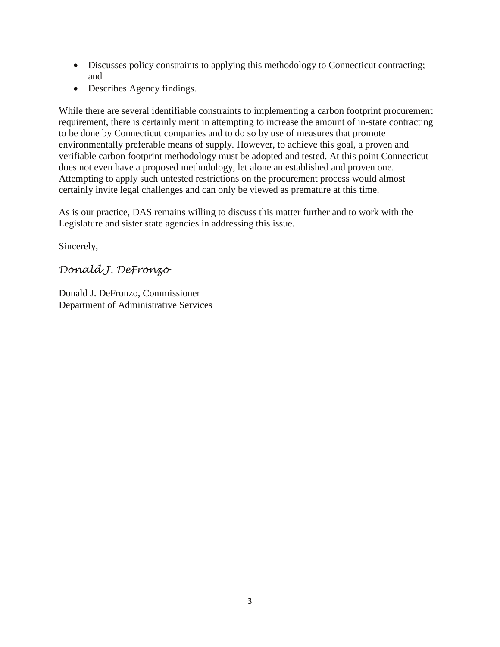- Discusses policy constraints to applying this methodology to Connecticut contracting; and
- Describes Agency findings.

While there are several identifiable constraints to implementing a carbon footprint procurement requirement, there is certainly merit in attempting to increase the amount of in-state contracting to be done by Connecticut companies and to do so by use of measures that promote environmentally preferable means of supply. However, to achieve this goal, a proven and verifiable carbon footprint methodology must be adopted and tested. At this point Connecticut does not even have a proposed methodology, let alone an established and proven one. Attempting to apply such untested restrictions on the procurement process would almost certainly invite legal challenges and can only be viewed as premature at this time.

As is our practice, DAS remains willing to discuss this matter further and to work with the Legislature and sister state agencies in addressing this issue.

Sincerely,

*Donald J. DeFronzo*

Donald J. DeFronzo, Commissioner Department of Administrative Services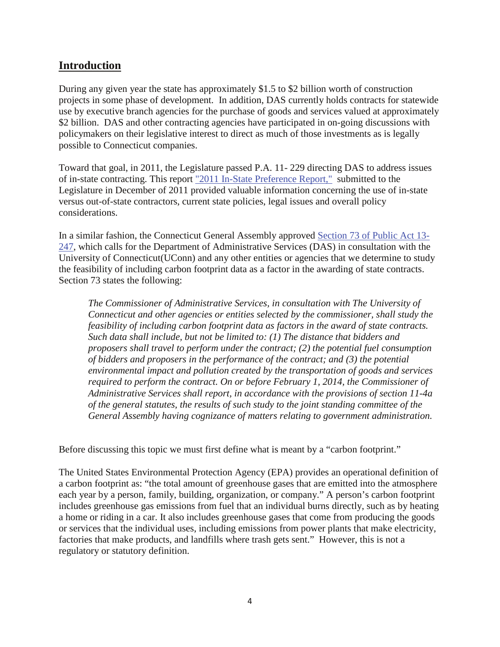# **Introduction**

During any given year the state has approximately \$1.5 to \$2 billion worth of construction projects in some phase of development. In addition, DAS currently holds contracts for statewide use by executive branch agencies for the purchase of goods and services valued at approximately \$2 billion. DAS and other contracting agencies have participated in on-going discussions with policymakers on their legislative interest to direct as much of those investments as is legally possible to Connecticut companies.

Toward that goal, in 2011, the Legislature passed P.A. 11- 229 directing DAS to address issues of in-state contracting. This report "2011 In-State Preference Report," submitted to the Legislature in December of 2011 provided valuable information concerning the use of in-state versus out-of-state contractors, current state policies, legal issues and overall policy considerations.

In a similar fashion, the Connecticut General Assembly approved Section 73 of Public Act 13- 247, which calls for the Department of Administrative Services (DAS) in consultation with the University of Connecticut(UConn) and any other entities or agencies that we determine to study the feasibility of including carbon footprint data as a factor in the awarding of state contracts. Section 73 states the following:

*The Commissioner of Administrative Services, in consultation with The University of Connecticut and other agencies or entities selected by the commissioner, shall study the feasibility of including carbon footprint data as factors in the award of state contracts. Such data shall include, but not be limited to: (1) The distance that bidders and proposers shall travel to perform under the contract; (2) the potential fuel consumption of bidders and proposers in the performance of the contract; and (3) the potential environmental impact and pollution created by the transportation of goods and services required to perform the contract. On or before February 1, 2014, the Commissioner of Administrative Services shall report, in accordance with the provisions of section 11-4a of the general statutes, the results of such study to the joint standing committee of the General Assembly having cognizance of matters relating to government administration.*

Before discussing this topic we must first define what is meant by a "carbon footprint."

The United States Environmental Protection Agency (EPA) provides an operational definition of a carbon footprint as: "the total amount of greenhouse gases that are emitted into the atmosphere each year by a person, family, building, organization, or company." A person's carbon footprint includes greenhouse gas emissions from fuel that an individual burns directly, such as by heating a home or riding in a car. It also includes greenhouse gases that come from producing the goods or services that the individual uses, including emissions from power plants that make electricity, factories that make products, and landfills where trash gets sent." However, this is not a regulatory or statutory definition.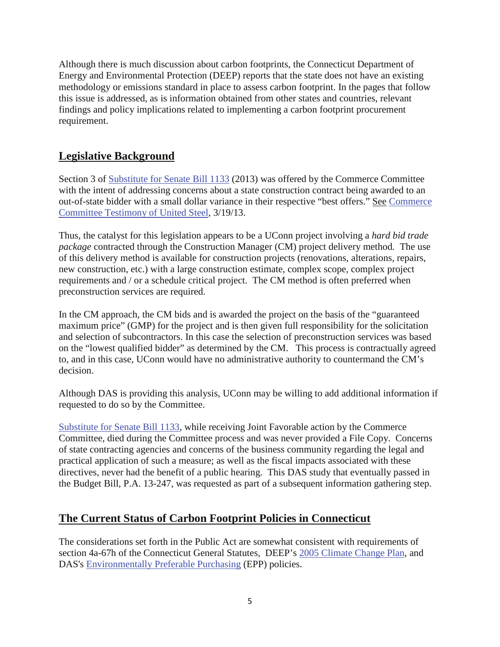Although there is much discussion about carbon footprints, the Connecticut Department of Energy and Environmental Protection (DEEP) reports that the state does not have an existing methodology or emissions standard in place to assess carbon footprint. In the pages that follow this issue is addressed, as is information obtained from other states and countries, relevant findings and policy implications related to implementing a carbon footprint procurement requirement.

# **Legislative Background**

Section 3 of **Substitute for Senate Bill 1133** (2013) was offered by the Commerce Committee with the intent of addressing concerns about a state construction contract being awarded to an out-of-state bidder with a small dollar variance in their respective "best offers." See [Commerce](http://www.cga.ct.gov/2013/CEdata/Tmy/2013SB-01133-R000319-Keith%20Corneau,%20Vice%20President%20of%20Construction,%20United%20Steel,%20Inc.-TMY.PDF)  [Committee Testimony of United Steel,](http://www.cga.ct.gov/2013/CEdata/Tmy/2013SB-01133-R000319-Keith%20Corneau,%20Vice%20President%20of%20Construction,%20United%20Steel,%20Inc.-TMY.PDF) 3/19/13.

Thus, the catalyst for this legislation appears to be a UConn project involving a *hard bid trade package* contracted through the Construction Manager (CM) project delivery method*.* The use of this delivery method is available for construction projects (renovations, alterations, repairs, new construction, etc.) with a large construction estimate, complex scope, complex project requirements and / or a schedule critical project. The CM method is often preferred when preconstruction services are required.

In the CM approach, the CM bids and is awarded the project on the basis of the "guaranteed maximum price" (GMP) for the project and is then given full responsibility for the solicitation and selection of subcontractors. In this case the selection of preconstruction services was based on the "lowest qualified bidder" as determined by the CM. This process is contractually agreed to, and in this case, UConn would have no administrative authority to countermand the CM's decision.

Although DAS is providing this analysis, UConn may be willing to add additional information if requested to do so by the Committee.

[Substitute for Senate Bill 1133,](http://www.cga.ct.gov/2013/TOB/s/pdf/2013SB-01133-R01-SB.pdf) while receiving Joint Favorable action by the Commerce Committee, died during the Committee process and was never provided a File Copy. Concerns of state contracting agencies and concerns of the business community regarding the legal and practical application of such a measure; as well as the fiscal impacts associated with these directives, never had the benefit of a public hearing. This DAS study that eventually passed in the Budget Bill, P.A. 13-247, was requested as part of a subsequent information gathering step.

# **The Current Status of Carbon Footprint Policies in Connecticut**

The considerations set forth in the Public Act are somewhat consistent with requirements of section 4a-67h of the Connecticut General Statutes, DEEP's [2005 Climate Change Plan,](http://www.ct.gov/deep/lib/deep/climatechange/ct_climate_change_action_plan_2005.pdf) and DAS's [Environmentally Preferable Purchasing](http://das.ct.gov/cr1.aspx?page=132) (EPP) policies.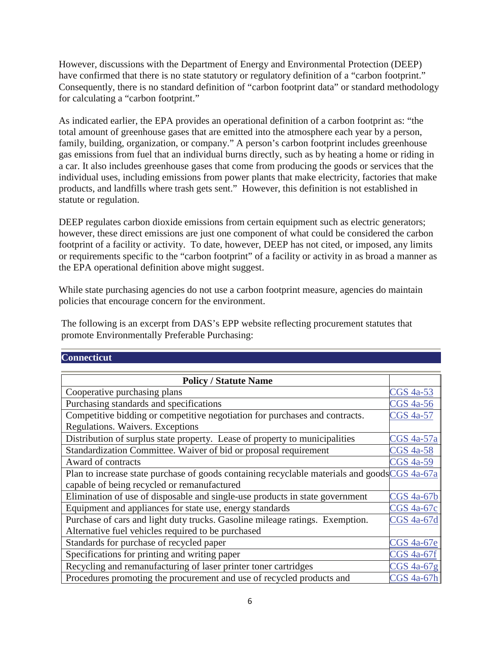However, discussions with the Department of Energy and Environmental Protection (DEEP) have confirmed that there is no state statutory or regulatory definition of a "carbon footprint." Consequently, there is no standard definition of "carbon footprint data" or standard methodology for calculating a "carbon footprint."

As indicated earlier, the EPA provides an operational definition of a carbon footprint as: "the total amount of greenhouse gases that are emitted into the atmosphere each year by a person, family, building, organization, or company." A person's carbon footprint includes greenhouse gas emissions from fuel that an individual burns directly, such as by heating a home or riding in a car. It also includes greenhouse gases that come from producing the goods or services that the individual uses, including emissions from power plants that make electricity, factories that make products, and landfills where trash gets sent." However, this definition is not established in statute or regulation.

DEEP regulates carbon dioxide emissions from certain equipment such as electric generators; however, these direct emissions are just one component of what could be considered the carbon footprint of a facility or activity. To date, however, DEEP has not cited, or imposed, any limits or requirements specific to the "carbon footprint" of a facility or activity in as broad a manner as the EPA operational definition above might suggest.

While state purchasing agencies do not use a carbon footprint measure, agencies do maintain policies that encourage concern for the environment.

The following is an excerpt from DAS's EPP website reflecting procurement statutes that promote Environmentally Preferable Purchasing:

#### **Connecticut**

| <b>Policy / Statute Name</b>                                                                  |                   |
|-----------------------------------------------------------------------------------------------|-------------------|
| Cooperative purchasing plans                                                                  | <b>CGS</b> 4a-53  |
| Purchasing standards and specifications                                                       | <b>CGS</b> 4a-56  |
| Competitive bidding or competitive negotiation for purchases and contracts.                   | <b>CGS 4a-57</b>  |
| Regulations. Waivers. Exceptions                                                              |                   |
| Distribution of surplus state property. Lease of property to municipalities                   | CGS 4a-57a        |
| Standardization Committee. Waiver of bid or proposal requirement                              | <b>CGS</b> 4a-58  |
| Award of contracts                                                                            | <b>CGS</b> 4a-59  |
| Plan to increase state purchase of goods containing recyclable materials and goods CGS 4a-67a |                   |
| capable of being recycled or remanufactured                                                   |                   |
| Elimination of use of disposable and single-use products in state government                  | <b>CGS</b> 4a-67b |
| Equipment and appliances for state use, energy standards                                      | <b>CGS</b> 4a-67c |
| Purchase of cars and light duty trucks. Gasoline mileage ratings. Exemption.                  | <b>CGS</b> 4a-67d |
| Alternative fuel vehicles required to be purchased                                            |                   |
| Standards for purchase of recycled paper                                                      | <b>CGS</b> 4a-67e |
| Specifications for printing and writing paper                                                 | <b>CGS 4a-67f</b> |
| Recycling and remanufacturing of laser printer toner cartridges                               | $CGS$ 4a-67g      |
| Procedures promoting the procurement and use of recycled products and                         | <b>CGS</b> 4a-67h |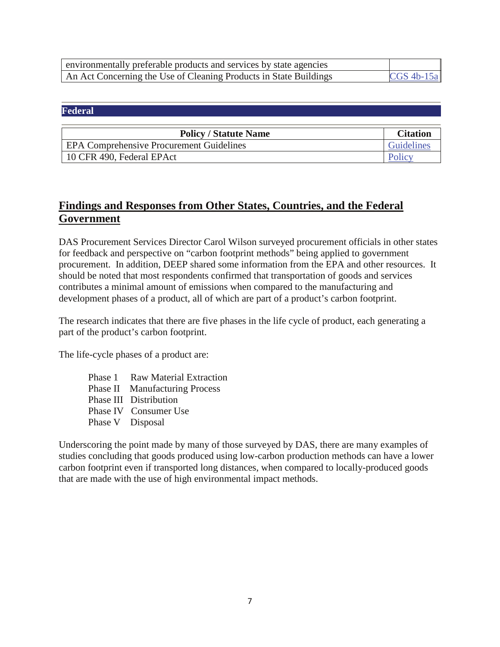| environmentally preferable products and services by state agencies |               |
|--------------------------------------------------------------------|---------------|
| An Act Concerning the Use of Cleaning Products in State Buildings  | $CGS$ 4b-15al |

#### **Federal**

| <b>Policy / Statute Name</b>                    | <b>Citation</b>   |
|-------------------------------------------------|-------------------|
| <b>EPA Comprehensive Procurement Guidelines</b> | <b>Guidelines</b> |
| 10 CFR 490, Federal EPAct                       | Policy            |

# **Findings and Responses from Other States, Countries, and the Federal Government**

DAS Procurement Services Director Carol Wilson surveyed procurement officials in other states for feedback and perspective on "carbon footprint methods" being applied to government procurement. In addition, DEEP shared some information from the EPA and other resources. It should be noted that most respondents confirmed that transportation of goods and services contributes a minimal amount of emissions when compared to the manufacturing and development phases of a product, all of which are part of a product's carbon footprint.

The research indicates that there are five phases in the life cycle of product, each generating a part of the product's carbon footprint.

The life-cycle phases of a product are:

Phase 1 Raw Material Extraction Phase II Manufacturing Process Phase III Distribution Phase IV Consumer Use Phase V Disposal

Underscoring the point made by many of those surveyed by DAS, there are many examples of studies concluding that goods produced using low-carbon production methods can have a lower carbon footprint even if transported long distances, when compared to locally-produced goods that are made with the use of high environmental impact methods.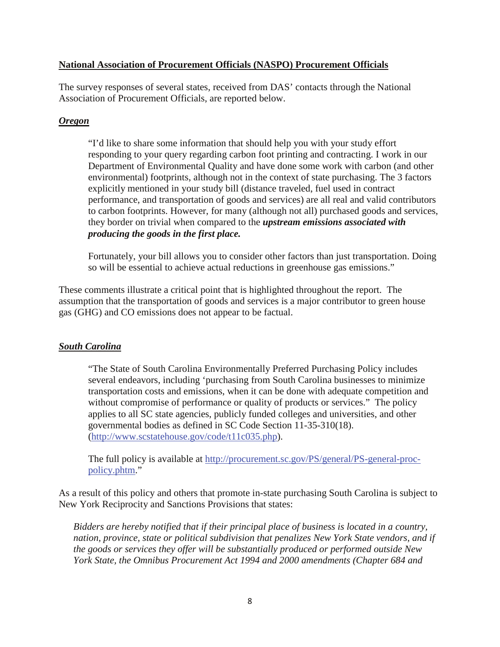#### **National Association of Procurement Officials (NASPO) Procurement Officials**

The survey responses of several states, received from DAS' contacts through the National Association of Procurement Officials, are reported below.

#### *Oregon*

"I'd like to share some information that should help you with your study effort responding to your query regarding carbon foot printing and contracting. I work in our Department of Environmental Quality and have done some work with carbon (and other environmental) footprints, although not in the context of state purchasing. The 3 factors explicitly mentioned in your study bill (distance traveled, fuel used in contract performance, and transportation of goods and services) are all real and valid contributors to carbon footprints. However, for many (although not all) purchased goods and services, they border on trivial when compared to the *upstream emissions associated with producing the goods in the first place.*

Fortunately, your bill allows you to consider other factors than just transportation. Doing so will be essential to achieve actual reductions in greenhouse gas emissions."

These comments illustrate a critical point that is highlighted throughout the report. The assumption that the transportation of goods and services is a major contributor to green house gas (GHG) and CO emissions does not appear to be factual.

#### *South Carolina*

"The State of South Carolina Environmentally Preferred Purchasing Policy includes several endeavors, including 'purchasing from South Carolina businesses to minimize transportation costs and emissions, when it can be done with adequate competition and without compromise of performance or quality of products or services." The policy applies to all SC state agencies, publicly funded colleges and universities, and other governmental bodies as defined in SC Code Section 11-35-310(18). [\(http://www.scstatehouse.gov/code/t11c035.php\)](http://www.scstatehouse.gov/code/t11c035.php).

The full policy is available at [http://procurement.sc.gov/PS/general/PS-general-proc](http://procurement.sc.gov/PS/general/PS-general-proc-policy.phtm)[policy.phtm.](http://procurement.sc.gov/PS/general/PS-general-proc-policy.phtm)"

As a result of this policy and others that promote in-state purchasing South Carolina is subject to New York Reciprocity and Sanctions Provisions that states:

*Bidders are hereby notified that if their principal place of business is located in a country, nation, province, state or political subdivision that penalizes New York State vendors, and if the goods or services they offer will be substantially produced or performed outside New York State, the Omnibus Procurement Act 1994 and 2000 amendments (Chapter 684 and*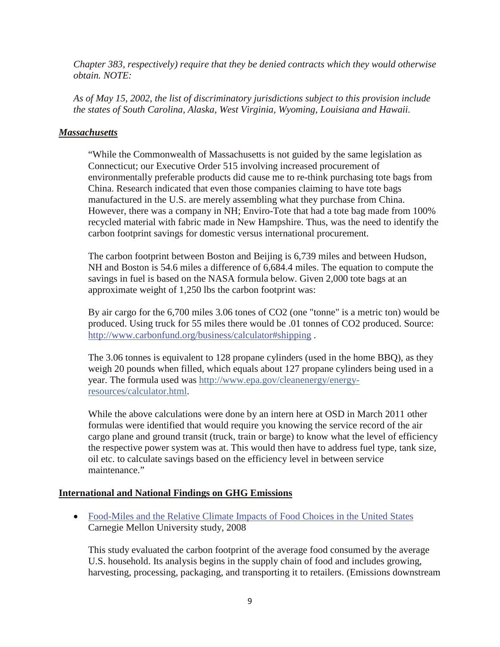*Chapter 383, respectively) require that they be denied contracts which they would otherwise obtain. NOTE:*

*As of May 15, 2002, the list of discriminatory jurisdictions subject to this provision include the states of South Carolina, Alaska, West Virginia, Wyoming, Louisiana and Hawaii.* 

#### *Massachusetts*

"While the Commonwealth of Massachusetts is not guided by the same legislation as Connecticut; our Executive Order 515 involving increased procurement of environmentally preferable products did cause me to re-think purchasing tote bags from China. Research indicated that even those companies claiming to have tote bags manufactured in the U.S. are merely assembling what they purchase from China. However, there was a company in NH; Enviro-Tote that had a tote bag made from 100% recycled material with fabric made in New Hampshire. Thus, was the need to identify the carbon footprint savings for domestic versus international procurement.

The carbon footprint between Boston and Beijing is 6,739 miles and between Hudson, NH and Boston is 54.6 miles a difference of 6,684.4 miles. The equation to compute the savings in fuel is based on the NASA formula below. Given 2,000 tote bags at an approximate weight of 1,250 lbs the carbon footprint was:

By air cargo for the 6,700 miles 3.06 tones of CO2 (one "tonne" is a metric ton) would be produced. Using truck for 55 miles there would be .01 tonnes of CO2 produced. Source: <http://www.carbonfund.org/business/calculator#shipping> .

The 3.06 tonnes is equivalent to 128 propane cylinders (used in the home BBQ), as they weigh 20 pounds when filled, which equals about 127 propane cylinders being used in a year. The formula used was [http://www.epa.gov/cleanenergy/energy](http://www.epa.gov/cleanenergy/energy-resources/calculator.html)[resources/calculator.html.](http://www.epa.gov/cleanenergy/energy-resources/calculator.html)

While the above calculations were done by an intern here at OSD in March 2011 other formulas were identified that would require you knowing the service record of the air cargo plane and ground transit (truck, train or barge) to know what the level of efficiency the respective power system was at. This would then have to address fuel type, tank size, oil etc. to calculate savings based on the efficiency level in between service maintenance."

#### **International and National Findings on GHG Emissions**

• Food-Miles and the Relative Climate Impacts of Food Choices in the United States Carnegie Mellon University study, 2008

This study evaluated the carbon footprint of the average food consumed by the average U.S. household. Its analysis begins in the supply chain of food and includes growing, harvesting, processing, packaging, and transporting it to retailers. (Emissions downstream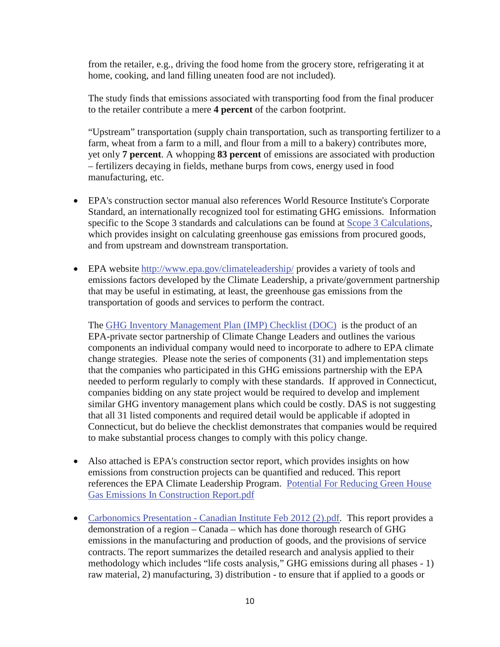from the retailer, e.g., driving the food home from the grocery store, refrigerating it at home, cooking, and land filling uneaten food are not included).

The study finds that emissions associated with transporting food from the final producer to the retailer contribute a mere **4 percent** of the carbon footprint.

"Upstream" transportation (supply chain transportation, such as transporting fertilizer to a farm, wheat from a farm to a mill, and flour from a mill to a bakery) contributes more, yet only **7 percent**. A whopping **83 percent** of emissions are associated with production – fertilizers decaying in fields, methane burps from cows, energy used in food manufacturing, etc.

- EPA's construction sector manual also references World Resource Institute's Corporate Standard, an internationally recognized tool for estimating GHG emissions. Information specific to the Scope 3 standards and calculations can be found at Scope 3 Calculations, which provides insight on calculating greenhouse gas emissions from procured goods, and from upstream and downstream transportation.
- EPA website<http://www.epa.gov/climateleadership/> provides a variety of tools and emissions factors developed by the Climate Leadership, a private/government partnership that may be useful in estimating, at least, the greenhouse gas emissions from the transportation of goods and services to perform the contract.

The [GHG Inventory Management Plan \(IMP\) Checklist \(DOC\)](http://www.epa.gov/climateleadership/documents/IMP_checklist.docx) is the product of an EPA-private sector partnership of Climate Change Leaders and outlines the various components an individual company would need to incorporate to adhere to EPA climate change strategies. Please note the series of components (31) and implementation steps that the companies who participated in this GHG emissions partnership with the EPA needed to perform regularly to comply with these standards. If approved in Connecticut, companies bidding on any state project would be required to develop and implement similar GHG inventory management plans which could be costly. DAS is not suggesting that all 31 listed components and required detail would be applicable if adopted in Connecticut, but do believe the checklist demonstrates that companies would be required to make substantial process changes to comply with this policy change.

- Also attached is EPA's construction sector report, which provides insights on how emissions from construction projects can be quantified and reduced. This report references the EPA Climate Leadership Program. Potential For Reducing Green House Gas Emissions In Construction Report.pdf
- Carbonomics Presentation Canadian Institute Feb 2012 (2).pdf. This report provides a demonstration of a region – Canada – which has done thorough research of GHG emissions in the manufacturing and production of goods, and the provisions of service contracts. The report summarizes the detailed research and analysis applied to their methodology which includes "life costs analysis," GHG emissions during all phases - 1) raw material, 2) manufacturing, 3) distribution - to ensure that if applied to a goods or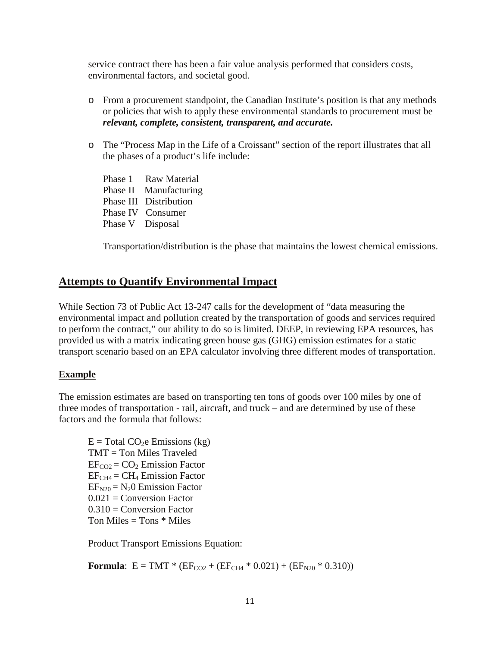service contract there has been a fair value analysis performed that considers costs, environmental factors, and societal good.

- o From a procurement standpoint, the Canadian Institute's position is that any methods or policies that wish to apply these environmental standards to procurement must be *relevant, complete, consistent, transparent, and accurate.*
- o The "Process Map in the Life of a Croissant" section of the report illustrates that all the phases of a product's life include:
	- Phase 1 Raw Material Phase II Manufacturing Phase III Distribution Phase IV Consumer Phase V Disposal

Transportation/distribution is the phase that maintains the lowest chemical emissions.

# **Attempts to Quantify Environmental Impact**

While Section 73 of Public Act 13-247 calls for the development of "data measuring the environmental impact and pollution created by the transportation of goods and services required to perform the contract," our ability to do so is limited. DEEP, in reviewing EPA resources, has provided us with a matrix indicating green house gas (GHG) emission estimates for a static transport scenario based on an EPA calculator involving three different modes of transportation.

#### **Example**

The emission estimates are based on transporting ten tons of goods over 100 miles by one of three modes of transportation - rail, aircraft, and truck – and are determined by use of these factors and the formula that follows:

 $E = Total CO<sub>2</sub>e E<sub>missions</sub> (kg)$ TMT = Ton Miles Traveled  $EF_{CO2} = CO<sub>2</sub>$  Emission Factor  $EF<sub>CH4</sub> = CH<sub>4</sub> Emission Factor$  $EF<sub>N20</sub> = N<sub>2</sub>0$  Emission Factor  $0.021$  = Conversion Factor  $0.310 =$  Conversion Factor Ton Miles  $=$  Tons  $*$  Miles

Product Transport Emissions Equation:

**Formula**:  $E = TMT * (EF<sub>CO2</sub> + (EF<sub>CH4</sub> * 0.021) + (EF<sub>N20</sub> * 0.310))$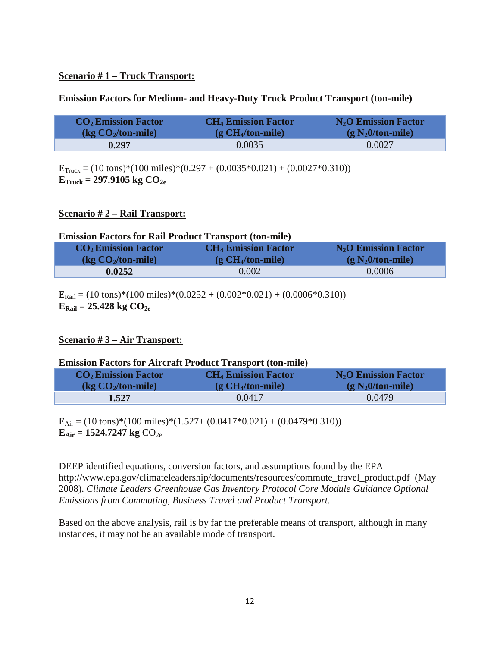#### **Scenario # 1 – Truck Transport:**

#### **Emission Factors for Medium- and Heavy-Duty Truck Product Transport (ton-mile)**

| $CO2$ Emission Factor  | <b>CH<sub>4</sub></b> Emission Factor | $N_2$ O Emission Factor |
|------------------------|---------------------------------------|-------------------------|
| $\log CO_2$ /ton-mile) | $(g CH4/ton-mile)$                    | $(g N20/ton-mile)$      |
| 0.297                  | 0.0035                                | 0.0027                  |

 $E_{\text{Truck}} = (10 \text{ tons})*(100 \text{ miles})*(0.297 + (0.0035*0.021) + (0.0027*0.310))$  $E_{\text{Truck}} = 297.9105 \text{ kg } CO_{2e}$ 

#### **Scenario # 2 – Rail Transport:**

#### **Emission Factors for Rail Product Transport (ton-mile)**

| $CO2$ Emission Factor                                 | <b>CH<sub>4</sub></b> Emission Factor | $N_2$ O Emission Factor |
|-------------------------------------------------------|---------------------------------------|-------------------------|
| $\left(\frac{\text{kg CO}_2}{\text{ton-mile}}\right)$ | $(g CH4/ton-mile)$                    | $(g N20/ton-mile)$      |
| 0.0252                                                | 0.002                                 | 0.0006                  |

 $E_{\text{Rail}} = (10 \text{ tons})*(100 \text{ miles})*(0.0252 + (0.002*0.021) + (0.0006*0.310))$  $E_{\text{Rail}} = 25.428 \text{ kg } CO_{2e}$ 

#### **Scenario # 3 – Air Transport:**

#### **Emission Factors for Aircraft Product Transport (ton-mile)**

| $CO2$ Emission Factor  | <b>CH<sub>4</sub></b> Emission Factor | $N_2$ O Emission Factor |
|------------------------|---------------------------------------|-------------------------|
| $\log CO_2$ /ton-mile) | $(g CH4/ton-mile)$                    | $(g N20/ton-mile)$      |
| 1.527                  | 0.0417                                | 0.0479                  |

 $E_{Air} = (10 \text{ tons})*(100 \text{ miles})*(1.527 + (0.0417*0.021) + (0.0479*0.310))$  $E_{Air} = 1524.7247 \text{ kg } CO_{2e}$ 

DEEP identified equations, conversion factors, and assumptions found by the EPA [http://www.epa.gov/climateleadership/documents/resources/commute\\_travel\\_product.pdf](http://www.epa.gov/climateleadership/documents/resources/commute_travel_product.pdf) (May 2008). *Climate Leaders Greenhouse Gas Inventory Protocol Core Module Guidance Optional Emissions from Commuting, Business Travel and Product Transport.*

Based on the above analysis, rail is by far the preferable means of transport, although in many instances, it may not be an available mode of transport.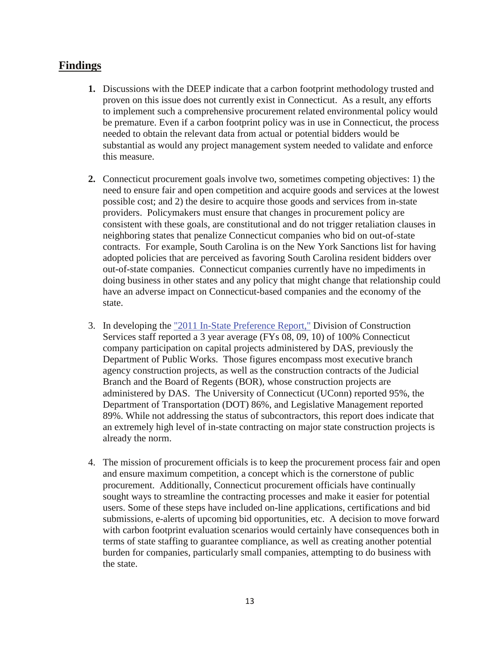### **Findings**

- **1.** Discussions with the DEEP indicate that a carbon footprint methodology trusted and proven on this issue does not currently exist in Connecticut. As a result, any efforts to implement such a comprehensive procurement related environmental policy would be premature. Even if a carbon footprint policy was in use in Connecticut, the process needed to obtain the relevant data from actual or potential bidders would be substantial as would any project management system needed to validate and enforce this measure.
- **2.** Connecticut procurement goals involve two, sometimes competing objectives: 1) the need to ensure fair and open competition and acquire goods and services at the lowest possible cost; and 2) the desire to acquire those goods and services from in-state providers. Policymakers must ensure that changes in procurement policy are consistent with these goals, are constitutional and do not trigger retaliation clauses in neighboring states that penalize Connecticut companies who bid on out-of-state contracts. For example, South Carolina is on the New York Sanctions list for having adopted policies that are perceived as favoring South Carolina resident bidders over out-of-state companies. Connecticut companies currently have no impediments in doing business in other states and any policy that might change that relationship could have an adverse impact on Connecticut-based companies and the economy of the state.
- 3. In developing the "2011 In-State Preference Report," Division of Construction Services staff reported a 3 year average (FYs 08, 09, 10) of 100% Connecticut company participation on capital projects administered by DAS, previously the Department of Public Works. Those figures encompass most executive branch agency construction projects, as well as the construction contracts of the Judicial Branch and the Board of Regents (BOR), whose construction projects are administered by DAS. The University of Connecticut (UConn) reported 95%, the Department of Transportation (DOT) 86%, and Legislative Management reported 89%. While not addressing the status of subcontractors, this report does indicate that an extremely high level of in-state contracting on major state construction projects is already the norm.
- 4. The mission of procurement officials is to keep the procurement process fair and open and ensure maximum competition, a concept which is the cornerstone of public procurement. Additionally, Connecticut procurement officials have continually sought ways to streamline the contracting processes and make it easier for potential users. Some of these steps have included on-line applications, certifications and bid submissions, e-alerts of upcoming bid opportunities, etc. A decision to move forward with carbon footprint evaluation scenarios would certainly have consequences both in terms of state staffing to guarantee compliance, as well as creating another potential burden for companies, particularly small companies, attempting to do business with the state.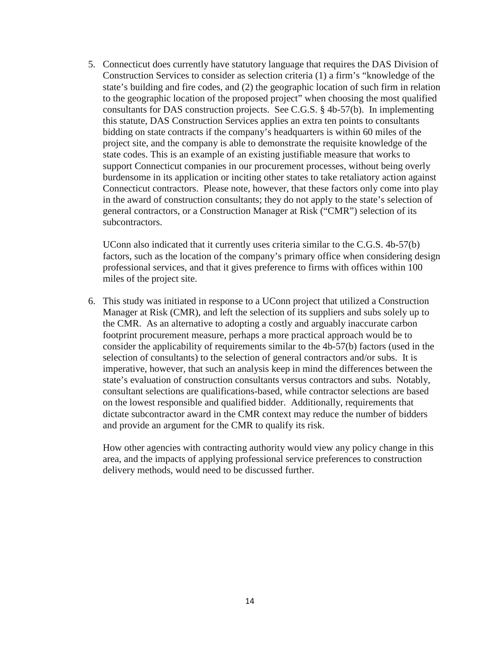5. Connecticut does currently have statutory language that requires the DAS Division of Construction Services to consider as selection criteria (1) a firm's "knowledge of the state's building and fire codes, and (2) the geographic location of such firm in relation to the geographic location of the proposed project" when choosing the most qualified consultants for DAS construction projects. See C.G.S. § 4b-57(b). In implementing this statute, DAS Construction Services applies an extra ten points to consultants bidding on state contracts if the company's headquarters is within 60 miles of the project site, and the company is able to demonstrate the requisite knowledge of the state codes. This is an example of an existing justifiable measure that works to support Connecticut companies in our procurement processes, without being overly burdensome in its application or inciting other states to take retaliatory action against Connecticut contractors. Please note, however, that these factors only come into play in the award of construction consultants; they do not apply to the state's selection of general contractors, or a Construction Manager at Risk ("CMR") selection of its subcontractors.

UConn also indicated that it currently uses criteria similar to the C.G.S. 4b-57(b) factors, such as the location of the company's primary office when considering design professional services, and that it gives preference to firms with offices within 100 miles of the project site.

6. This study was initiated in response to a UConn project that utilized a Construction Manager at Risk (CMR), and left the selection of its suppliers and subs solely up to the CMR. As an alternative to adopting a costly and arguably inaccurate carbon footprint procurement measure, perhaps a more practical approach would be to consider the applicability of requirements similar to the 4b-57(b) factors (used in the selection of consultants) to the selection of general contractors and/or subs. It is imperative, however, that such an analysis keep in mind the differences between the state's evaluation of construction consultants versus contractors and subs. Notably, consultant selections are qualifications-based, while contractor selections are based on the lowest responsible and qualified bidder. Additionally, requirements that dictate subcontractor award in the CMR context may reduce the number of bidders and provide an argument for the CMR to qualify its risk.

How other agencies with contracting authority would view any policy change in this area, and the impacts of applying professional service preferences to construction delivery methods, would need to be discussed further.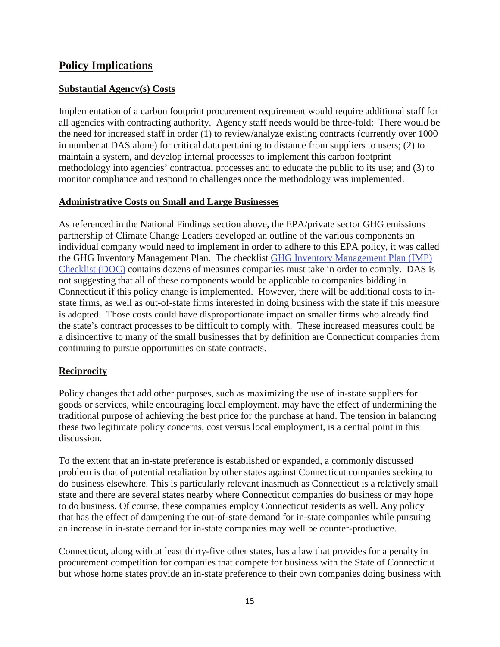## **Policy Implications**

#### **Substantial Agency(s) Costs**

Implementation of a carbon footprint procurement requirement would require additional staff for all agencies with contracting authority. Agency staff needs would be three-fold: There would be the need for increased staff in order (1) to review/analyze existing contracts (currently over 1000 in number at DAS alone) for critical data pertaining to distance from suppliers to users; (2) to maintain a system, and develop internal processes to implement this carbon footprint methodology into agencies' contractual processes and to educate the public to its use; and (3) to monitor compliance and respond to challenges once the methodology was implemented.

#### **Administrative Costs on Small and Large Businesses**

As referenced in the National Findings section above, the EPA/private sector GHG emissions partnership of Climate Change Leaders developed an outline of the various components an individual company would need to implement in order to adhere to this EPA policy, it was called the GHG Inventory Management Plan. The checklist [GHG Inventory Management Plan \(IMP\)](http://www.epa.gov/climateleadership/documents/IMP_checklist.docx)  [Checklist \(DOC\)](http://www.epa.gov/climateleadership/documents/IMP_checklist.docx) contains dozens of measures companies must take in order to comply. DAS is not suggesting that all of these components would be applicable to companies bidding in Connecticut if this policy change is implemented. However, there will be additional costs to instate firms, as well as out-of-state firms interested in doing business with the state if this measure is adopted. Those costs could have disproportionate impact on smaller firms who already find the state's contract processes to be difficult to comply with. These increased measures could be a disincentive to many of the small businesses that by definition are Connecticut companies from continuing to pursue opportunities on state contracts.

#### **Reciprocity**

Policy changes that add other purposes, such as maximizing the use of in-state suppliers for goods or services, while encouraging local employment, may have the effect of undermining the traditional purpose of achieving the best price for the purchase at hand. The tension in balancing these two legitimate policy concerns, cost versus local employment, is a central point in this discussion.

To the extent that an in-state preference is established or expanded, a commonly discussed problem is that of potential retaliation by other states against Connecticut companies seeking to do business elsewhere. This is particularly relevant inasmuch as Connecticut is a relatively small state and there are several states nearby where Connecticut companies do business or may hope to do business. Of course, these companies employ Connecticut residents as well. Any policy that has the effect of dampening the out-of-state demand for in-state companies while pursuing an increase in in-state demand for in-state companies may well be counter-productive.

Connecticut, along with at least thirty-five other states, has a law that provides for a penalty in procurement competition for companies that compete for business with the State of Connecticut but whose home states provide an in-state preference to their own companies doing business with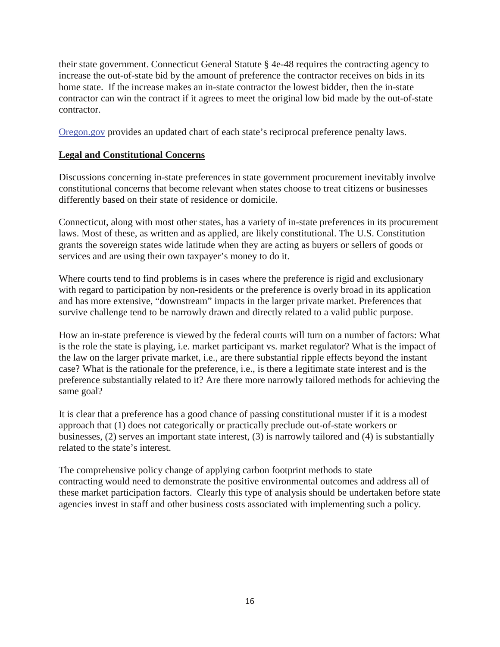their state government. Connecticut General Statute § 4e-48 requires the contracting agency to increase the out-of-state bid by the amount of preference the contractor receives on bids in its home state. If the increase makes an in-state contractor the lowest bidder, then the in-state contractor can win the contract if it agrees to meet the original low bid made by the out-of-state contractor.

[Oregon.gov](http://oregon.gov/DAS/SSD/SPO/reciprocal_detail.shtml) provides an updated chart of each state's reciprocal preference penalty laws.

#### **Legal and Constitutional Concerns**

Discussions concerning in-state preferences in state government procurement inevitably involve constitutional concerns that become relevant when states choose to treat citizens or businesses differently based on their state of residence or domicile.

Connecticut, along with most other states, has a variety of in-state preferences in its procurement laws. Most of these, as written and as applied, are likely constitutional. The U.S. Constitution grants the sovereign states wide latitude when they are acting as buyers or sellers of goods or services and are using their own taxpayer's money to do it.

Where courts tend to find problems is in cases where the preference is rigid and exclusionary with regard to participation by non-residents or the preference is overly broad in its application and has more extensive, "downstream" impacts in the larger private market. Preferences that survive challenge tend to be narrowly drawn and directly related to a valid public purpose.

How an in-state preference is viewed by the federal courts will turn on a number of factors: What is the role the state is playing, i.e. market participant vs. market regulator? What is the impact of the law on the larger private market, i.e., are there substantial ripple effects beyond the instant case? What is the rationale for the preference, i.e., is there a legitimate state interest and is the preference substantially related to it? Are there more narrowly tailored methods for achieving the same goal?

It is clear that a preference has a good chance of passing constitutional muster if it is a modest approach that (1) does not categorically or practically preclude out-of-state workers or businesses, (2) serves an important state interest, (3) is narrowly tailored and (4) is substantially related to the state's interest.

The comprehensive policy change of applying carbon footprint methods to state contracting would need to demonstrate the positive environmental outcomes and address all of these market participation factors. Clearly this type of analysis should be undertaken before state agencies invest in staff and other business costs associated with implementing such a policy.